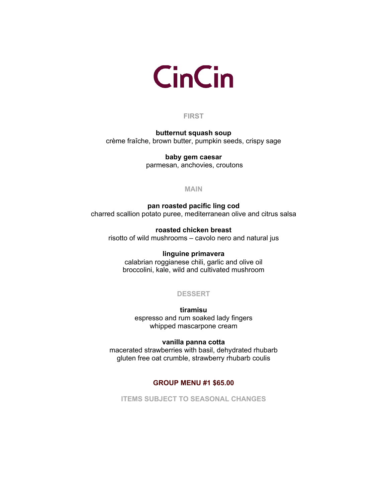

## **FIRST**

**butternut squash soup** crème fraîche, brown butter, pumpkin seeds, crispy sage

> **baby gem caesar** parmesan, anchovies, croutons

> > **MAIN**

**pan roasted pacific ling cod** charred scallion potato puree, mediterranean olive and citrus salsa

**roasted chicken breast** risotto of wild mushrooms – cavolo nero and natural jus

## **linguine primavera**

calabrian roggianese chili, garlic and olive oil broccolini, kale, wild and cultivated mushroom

# **DESSERT**

**tiramisu** espresso and rum soaked lady fingers whipped mascarpone cream

### **vanilla panna cotta**

macerated strawberries with basil, dehydrated rhubarb gluten free oat crumble, strawberry rhubarb coulis

## **GROUP MENU #1 \$65.00**

**ITEMS SUBJECT TO SEASONAL CHANGES**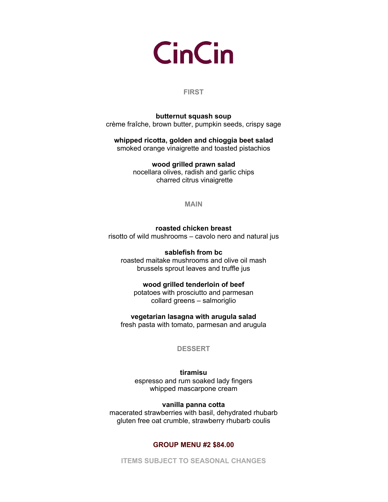**CinCin** 

### **FIRST**

## **butternut squash soup** crème fraîche, brown butter, pumpkin seeds, crispy sage

**whipped ricotta, golden and chioggia beet salad** 

smoked orange vinaigrette and toasted pistachios

**wood grilled prawn salad**  nocellara olives, radish and garlic chips charred citrus vinaigrette

**MAIN**

**roasted chicken breast** risotto of wild mushrooms – cavolo nero and natural jus

**sablefish from bc** roasted maitake mushrooms and olive oil mash brussels sprout leaves and truffle jus

**wood grilled tenderloin of beef**

potatoes with prosciutto and parmesan collard greens – salmoriglio

**vegetarian lasagna with arugula salad**

fresh pasta with tomato, parmesan and arugula

**DESSERT**

**tiramisu** espresso and rum soaked lady fingers whipped mascarpone cream

**vanilla panna cotta**

macerated strawberries with basil, dehydrated rhubarb gluten free oat crumble, strawberry rhubarb coulis

## **GROUP MENU #2 \$84.00**

**ITEMS SUBJECT TO SEASONAL CHANGES**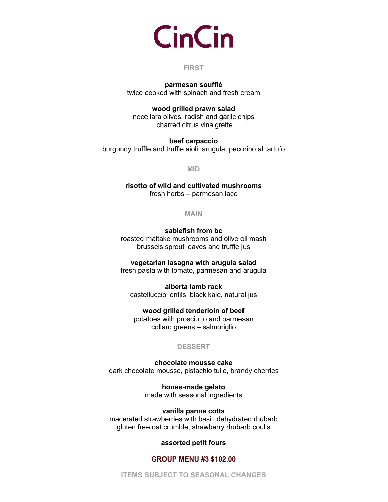# **CinCin**

## **FIRST**

**parmesan soufflé** twice cooked with spinach and fresh cream

### **wood grilled prawn salad**

nocellara olives, radish and garlic chips charred citrus vinaigrette

**beef carpaccio** burgundy truffle and truffle aioli, arugula, pecorino al tartufo

**MID**

**risotto of wild and cultivated mushrooms** fresh herbs – parmesan lace

**MAIN**

**sablefish from bc** roasted maitake mushrooms and olive oil mash brussels sprout leaves and truffle jus

**vegetarian lasagna with arugula salad** fresh pasta with tomato, parmesan and arugula

**alberta lamb rack**  castelluccio lentils, black kale, natural jus

**wood grilled tenderloin of beef** potatoes with prosciutto and parmesan collard greens – salmoriglio

## **DESSERT**

**chocolate mousse cake**  dark chocolate mousse, pistachio tuile, brandy cherries

> **house-made gelato** made with seasonal ingredients

**vanilla panna cotta** macerated strawberries with basil, dehydrated rhubarb gluten free oat crumble, strawberry rhubarb coulis

## **assorted petit fours**

## **GROUP MENU #3 \$102.00**

**ITEMS SUBJECT TO SEASONAL CHANGES**